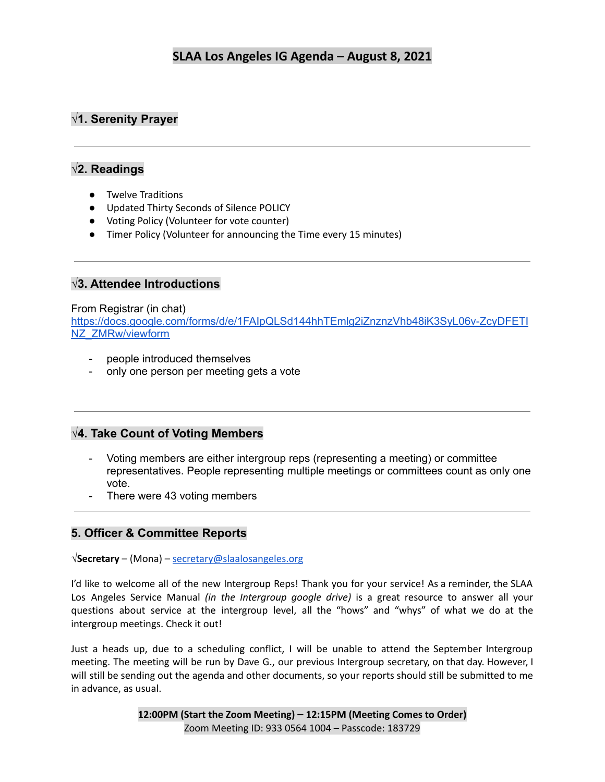# **√1. Serenity Prayer**

# **√2. Readings**

- Twelve Traditions
- Updated Thirty Seconds of Silence POLICY
- Voting Policy (Volunteer for vote counter)
- Timer Policy (Volunteer for announcing the Time every 15 minutes)

# **√3. Attendee Introductions**

#### From Registrar (in chat)

[https://docs.google.com/forms/d/e/1FAIpQLSd144hhTEmlg2iZnznzVhb48iK3SyL06v-ZcyDFETI](https://docs.google.com/forms/d/e/1FAIpQLSd144hhTEmlg2iZnznzVhb48iK3SyL06v-ZcyDFETINZ_ZMRw/viewform) [NZ\\_ZMRw/viewform](https://docs.google.com/forms/d/e/1FAIpQLSd144hhTEmlg2iZnznzVhb48iK3SyL06v-ZcyDFETINZ_ZMRw/viewform)

- people introduced themselves
- only one person per meeting gets a vote

## **√4. Take Count of Voting Members**

- Voting members are either intergroup reps (representing a meeting) or committee representatives. People representing multiple meetings or committees count as only one vote.
- There were 43 voting members

# **5. Officer & Committee Reports**

**√Secretary** – (Mona) – [secretary@slaalosangeles.org](mailto:secretary@slaalosangeles.org)

I'd like to welcome all of the new Intergroup Reps! Thank you for your service! As a reminder, the SLAA Los Angeles Service Manual *(in the Intergroup google drive)* is a great resource to answer all your questions about service at the intergroup level, all the "hows" and "whys" of what we do at the intergroup meetings. Check it out!

Just a heads up, due to a scheduling conflict, I will be unable to attend the September Intergroup meeting. The meeting will be run by Dave G., our previous Intergroup secretary, on that day. However, I will still be sending out the agenda and other documents, so your reports should still be submitted to me in advance, as usual.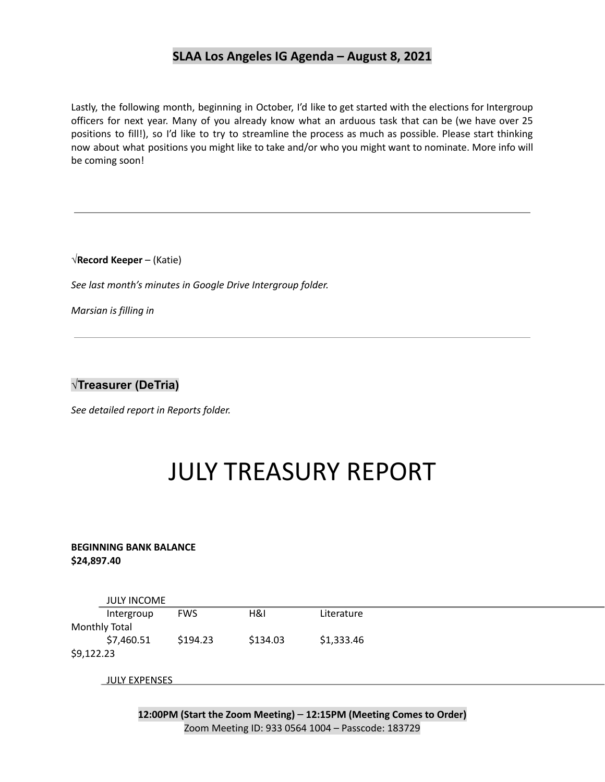Lastly, the following month, beginning in October, I'd like to get started with the elections for Intergroup officers for next year. Many of you already know what an arduous task that can be (we have over 25 positions to fill!), so I'd like to try to streamline the process as much as possible. Please start thinking now about what positions you might like to take and/or who you might want to nominate. More info will be coming soon!

**√Record Keeper** – (Katie)

*See last month's minutes in Google Drive Intergroup folder.*

*Marsian is filling in*

**√Treasurer (DeTria)**

*See detailed report in Reports folder.*

# JULY TREASURY REPORT

#### **BEGINNING BANK BALANCE \$24,897.40**

|               | <b>JULY INCOME</b> |            |          |            |
|---------------|--------------------|------------|----------|------------|
|               | Intergroup         | <b>FWS</b> | H&I      | Literature |
| Monthly Total |                    |            |          |            |
|               | \$7,460.51         | \$194.23   | \$134.03 | \$1,333.46 |
| \$9,122.23    |                    |            |          |            |

JULY EXPENSES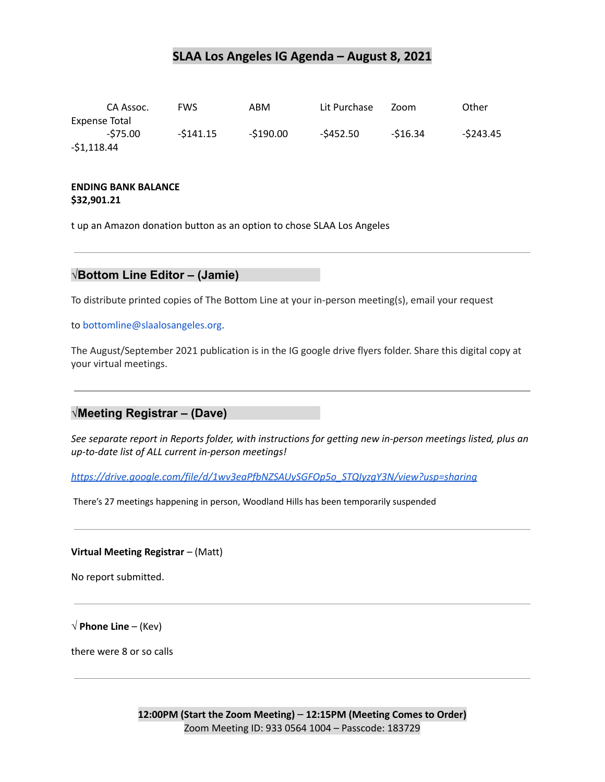|               | CA Assoc. | <b>FWS</b> | ABM        | Lit Purchase | Zoom     | Other      |
|---------------|-----------|------------|------------|--------------|----------|------------|
| Expense Total |           |            |            |              |          |            |
|               | -\$75.00  | $-5141.15$ | $-5190.00$ | -\$452.50    | -\$16.34 | $-5243.45$ |
| $-51,118.44$  |           |            |            |              |          |            |

#### **ENDING BANK BALANCE \$32,901.21**

t up an Amazon donation button as an option to chose SLAA Los Angeles

#### **√Bottom Line Editor – (Jamie)**

To distribute printed copies of The Bottom Line at your in-person meeting(s), email your request

to bottomline@slaalosangeles.org.

The August/September 2021 publication is in the IG google drive flyers folder. Share this digital copy at your virtual meetings.

#### **√Meeting Registrar – (Dave)**

*See separate report in Reports folder, with instructions for getting new in-person meetings listed, plus an up-to-date list of ALL current in-person meetings!*

*[https://drive.google.com/file/d/1wv3eaPfbNZSAUySGFOp5o\\_STQIyzgY3N/view?usp=sharing](https://drive.google.com/file/d/1wv3eaPfbNZSAUySGFOp5o_STQIyzgY3N/view?usp=sharing)*

There's 27 meetings happening in person, Woodland Hills has been temporarily suspended

**Virtual Meeting Registrar** – (Matt)

No report submitted.

 $\sqrt{}$  **Phone Line** – (Kev)

there were 8 or so calls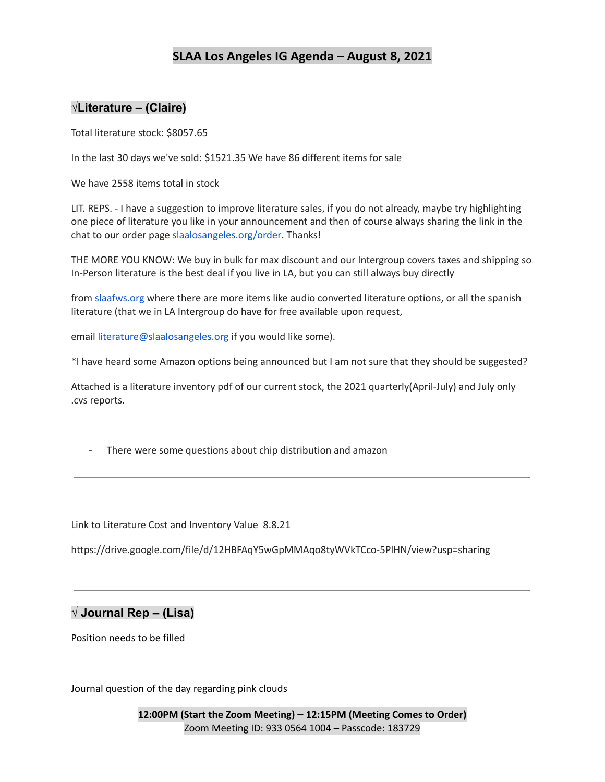## **√Literature – (Claire)**

Total literature stock: \$8057.65

In the last 30 days we've sold: \$1521.35 We have 86 different items for sale

We have 2558 items total in stock

LIT. REPS. - I have a suggestion to improve literature sales, if you do not already, maybe try highlighting one piece of literature you like in your announcement and then of course always sharing the link in the chat to our order page slaalosangeles.org/order. Thanks!

THE MORE YOU KNOW: We buy in bulk for max discount and our Intergroup covers taxes and shipping so In-Person literature is the best deal if you live in LA, but you can still always buy directly

from slaafws.org where there are more items like audio converted literature options, or all the spanish literature (that we in LA Intergroup do have for free available upon request,

email literature@slaalosangeles.org if you would like some).

\*I have heard some Amazon options being announced but I am not sure that they should be suggested?

Attached is a literature inventory pdf of our current stock, the 2021 quarterly(April-July) and July only .cvs reports.

There were some questions about chip distribution and amazon

Link to Literature Cost and Inventory Value 8.8.21

https://drive.google.com/file/d/12HBFAqY5wGpMMAqo8tyWVkTCco-5PlHN/view?usp=sharing

## **√ Journal Rep – (Lisa)**

Position needs to be filled

Journal question of the day regarding pink clouds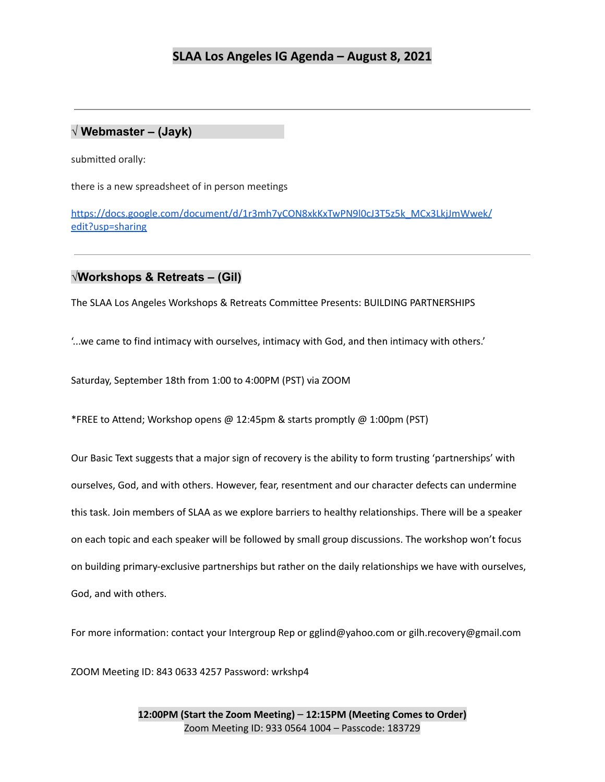#### **√ Webmaster – (Jayk)**

submitted orally:

there is a new spreadsheet of in person meetings

[https://docs.google.com/document/d/1r3mh7yCON8xkKxTwPN9l0cJ3T5z5k\\_MCx3LkjJmWwek/](https://docs.google.com/document/d/1r3mh7yCON8xkKxTwPN9l0cJ3T5z5k_MCx3LkjJmWwek/edit?usp=sharing) [edit?usp=sharing](https://docs.google.com/document/d/1r3mh7yCON8xkKxTwPN9l0cJ3T5z5k_MCx3LkjJmWwek/edit?usp=sharing)

#### **√Workshops & Retreats – (Gil)**

The SLAA Los Angeles Workshops & Retreats Committee Presents: BUILDING PARTNERSHIPS

'...we came to find intimacy with ourselves, intimacy with God, and then intimacy with others.'

Saturday, September 18th from 1:00 to 4:00PM (PST) via ZOOM

\*FREE to Attend; Workshop opens @ 12:45pm & starts promptly @ 1:00pm (PST)

Our Basic Text suggests that a major sign of recovery is the ability to form trusting 'partnerships' with ourselves, God, and with others. However, fear, resentment and our character defects can undermine this task. Join members of SLAA as we explore barriers to healthy relationships. There will be a speaker on each topic and each speaker will be followed by small group discussions. The workshop won't focus on building primary-exclusive partnerships but rather on the daily relationships we have with ourselves, God, and with others.

For more information: contact your Intergroup Rep or gglind@yahoo.com or gilh.recovery@gmail.com

ZOOM Meeting ID: 843 0633 4257 Password: wrkshp4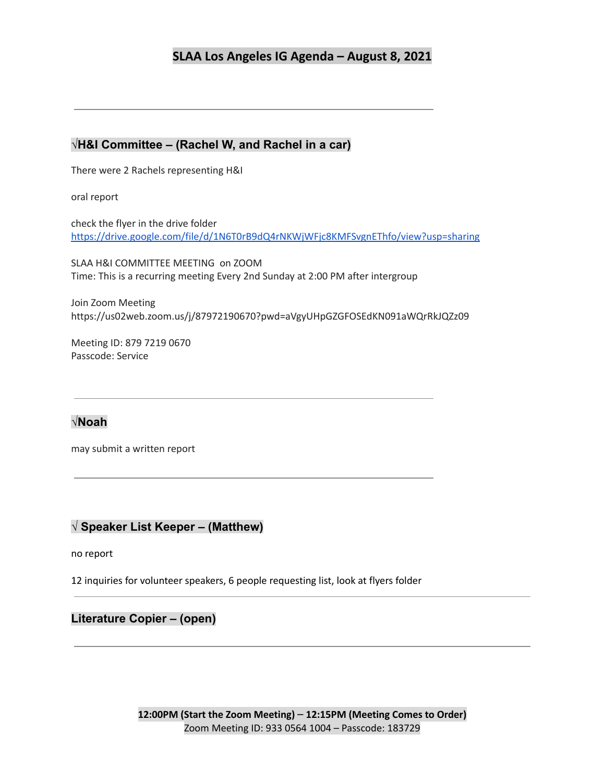## **√H&I Committee – (Rachel W, and Rachel in a car)**

There were 2 Rachels representing H&I

oral report

check the flyer in the drive folder <https://drive.google.com/file/d/1N6T0rB9dQ4rNKWjWFjc8KMFSvgnEThfo/view?usp=sharing>

SLAA H&I COMMITTEE MEETING on ZOOM Time: This is a recurring meeting Every 2nd Sunday at 2:00 PM after intergroup

Join Zoom Meeting https://us02web.zoom.us/j/87972190670?pwd=aVgyUHpGZGFOSEdKN091aWQrRkJQZz09

Meeting ID: 879 7219 0670 Passcode: Service

# **√Noah**

may submit a written report

## **√ Speaker List Keeper – (Matthew)**

no report

12 inquiries for volunteer speakers, 6 people requesting list, look at flyers folder

## **Literature Copier – (open)**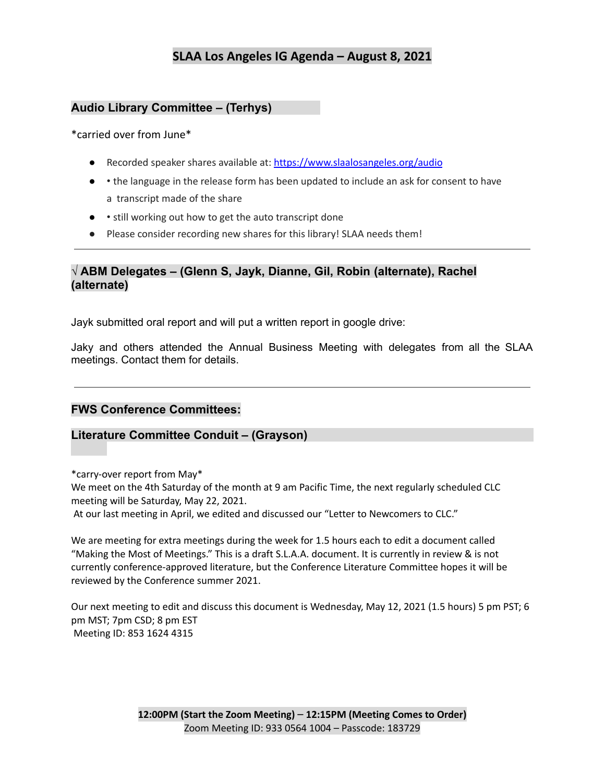## **Audio Library Committee – (Terhys)**

#### \*carried over from June\*

- Recorded speaker shares available at: https://www.slaalosangeles.org/audio
- • the language in the release form has been updated to include an ask for consent to have a transcript made of the share
- • still working out how to get the auto transcript done
- Please consider recording new shares for this library! SLAA needs them!

## **√ ABM Delegates – (Glenn S, Jayk, Dianne, Gil, Robin (alternate), Rachel (alternate)**

Jayk submitted oral report and will put a written report in google drive:

Jaky and others attended the Annual Business Meeting with delegates from all the SLAA meetings. Contact them for details.

## **FWS Conference Committees:**

#### **Literature Committee Conduit – (Grayson)**

\*carry-over report from May\*

We meet on the 4th Saturday of the month at 9 am Pacific Time, the next regularly scheduled CLC meeting will be Saturday, May 22, 2021.

At our last meeting in April, we edited and discussed our "Letter to Newcomers to CLC."

We are meeting for extra meetings during the week for 1.5 hours each to edit a document called "Making the Most of Meetings." This is a draft S.L.A.A. document. It is currently in review & is not currently conference-approved literature, but the Conference Literature Committee hopes it will be reviewed by the Conference summer 2021.

Our next meeting to edit and discuss this document is Wednesday, May 12, 2021 (1.5 hours) 5 pm PST; 6 pm MST; 7pm CSD; 8 pm EST Meeting ID: 853 1624 4315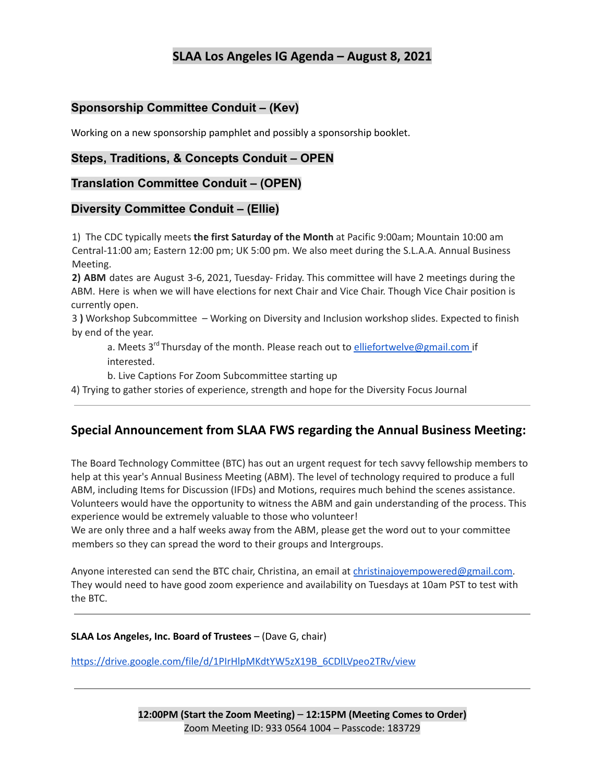# **Sponsorship Committee Conduit – (Kev)**

Working on a new sponsorship pamphlet and possibly a sponsorship booklet.

## **Steps, Traditions, & Concepts Conduit – OPEN**

#### **Translation Committee Conduit – (OPEN)**

## **Diversity Committee Conduit – (Ellie)**

1) The CDC typically meets **the first Saturday of the Month** at Pacific 9:00am; Mountain 10:00 am Central-11:00 am; Eastern 12:00 pm; UK 5:00 pm. We also meet during the S.L.A.A. Annual Business Meeting.

**2) ABM** dates are August 3-6, 2021, Tuesday- Friday. This committee will have 2 meetings during the ABM. Here is when we will have elections for next Chair and Vice Chair. Though Vice Chair position is currently open.

3 **)** Workshop Subcommittee – Working on Diversity and Inclusion workshop slides. Expected to finish by end of the year.

a. Meets 3<sup>rd</sup> Thursday of the month. Please reach out to <u>elliefortwelve@gmail.com</u> if interested.

b. Live Captions For Zoom Subcommittee starting up

4) Trying to gather stories of experience, strength and hope for the Diversity Focus Journal

# **Special Announcement from SLAA FWS regarding the Annual Business Meeting:**

The Board Technology Committee (BTC) has out an urgent request for tech savvy fellowship members to help at this year's Annual Business Meeting (ABM). The level of technology required to produce a full ABM, including Items for Discussion (IFDs) and Motions, requires much behind the scenes assistance. Volunteers would have the opportunity to witness the ABM and gain understanding of the process. This experience would be extremely valuable to those who volunteer!

We are only three and a half weeks away from the ABM, please get the word out to your committee members so they can spread the word to their groups and Intergroups.

Anyone interested can send the BTC chair, Christina, an email at christinajoyempowered@gmail.com. They would need to have good zoom experience and availability on Tuesdays at 10am PST to test with the BTC.

#### **SLAA Los Angeles, Inc. Board of Trustees** – (Dave G, chair)

[https://drive.google.com/file/d/1PIrHlpMKdtYW5zX19B\\_6CDlLVpeo2TRv/view](https://drive.google.com/file/d/1PIrHlpMKdtYW5zX19B_6CDlLVpeo2TRv/view)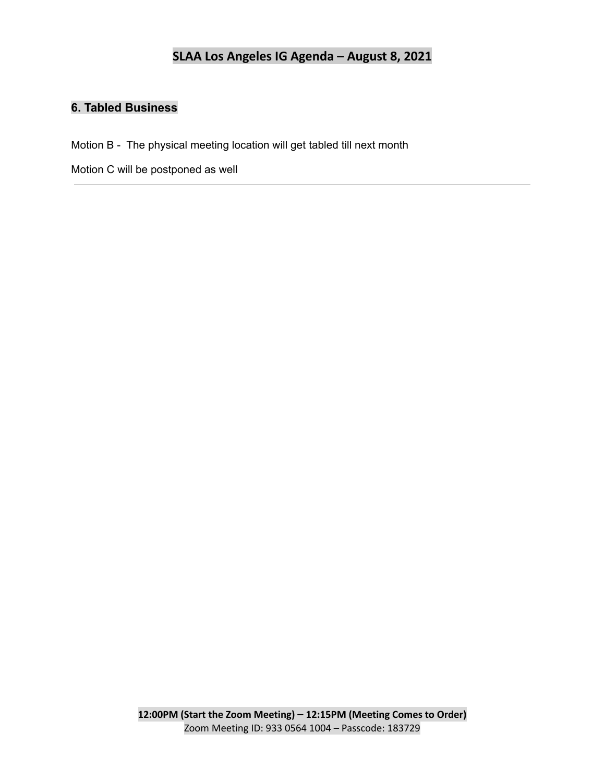# **6. Tabled Business**

Motion B - The physical meeting location will get tabled till next month

Motion C will be postponed as well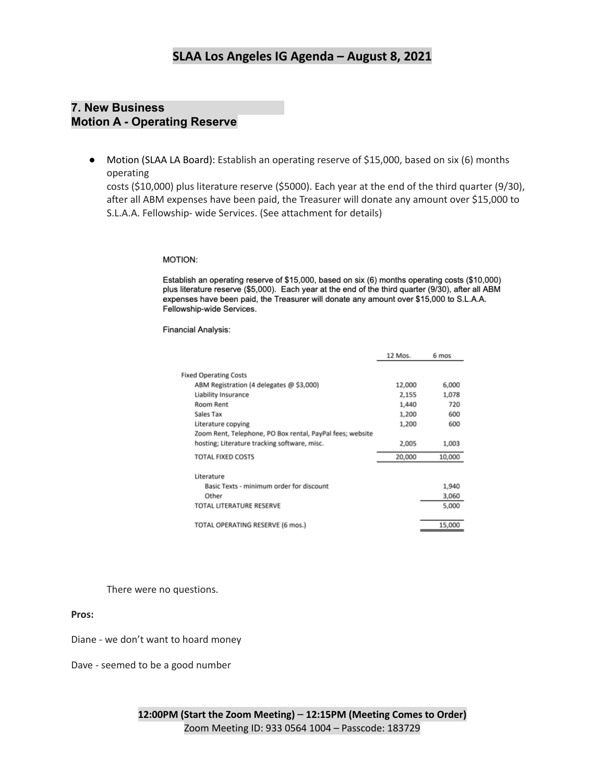## **7. New Business Motion A - Operating Reserve**

● Motion (SLAA LA Board): Establish an operating reserve of \$15,000, based on six (6) months operating

costs (\$10,000) plus literature reserve (\$5000). Each year at the end of the third quarter (9/30), after all ABM expenses have been paid, the Treasurer will donate any amount over \$15,000 to S.L.A.A. Fellowship- wide Services. (See attachment for details)

#### **MOTION:**

Establish an operating reserve of \$15,000, based on six (6) months operating costs (\$10,000) plus literature reserve (\$5,000). Each year at the end of the third quarter (9/30), after all ABM expenses have been paid, the Treasurer will donate any amount over \$15,000 to S.L.A.A. Fellowship-wide Services.

**Financial Analysis:** 

|                                                           | 12 Mos. | 6 mos  |
|-----------------------------------------------------------|---------|--------|
|                                                           |         |        |
| <b>Fixed Operating Costs</b>                              |         |        |
| ABM Registration (4 delegates @ \$3,000)                  | 12,000  | 6,000  |
| Liability Insurance                                       | 2,155   | 1,078  |
| Room Rent                                                 | 1,440   | 720    |
| Sales Tax                                                 | 1,200   | 600    |
| Literature copying                                        | 1,200   | 600    |
| Zoom Rent, Telephone, PO Box rental, PayPal fees; website |         |        |
| hosting; Literature tracking software, misc.              | 2,005   | 1,003  |
| <b>TOTAL FIXED COSTS</b>                                  | 20,000  | 10,000 |
| Literature                                                |         |        |
| Basic Texts - minimum order for discount                  |         | 1,940  |
| Other                                                     |         | 3,060  |
| TOTAL LITERATURE RESERVE                                  |         | 5,000  |
| TOTAL OPERATING RESERVE (6 mos.)                          |         | 15,000 |

There were no questions.

#### **Pros:**

Diane - we don't want to hoard money

Dave - seemed to be a good number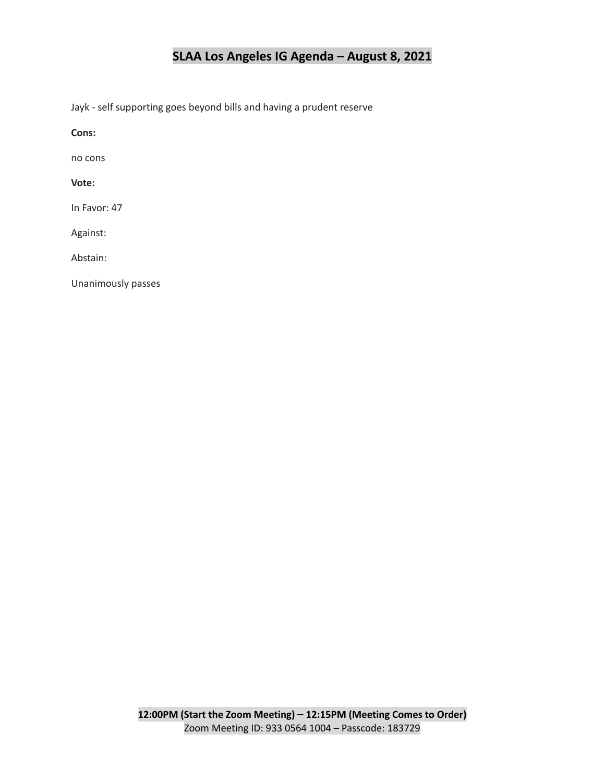Jayk - self supporting goes beyond bills and having a prudent reserve

**Cons:**

no cons

**Vote:**

In Favor: 47

Against:

Abstain:

Unanimously passes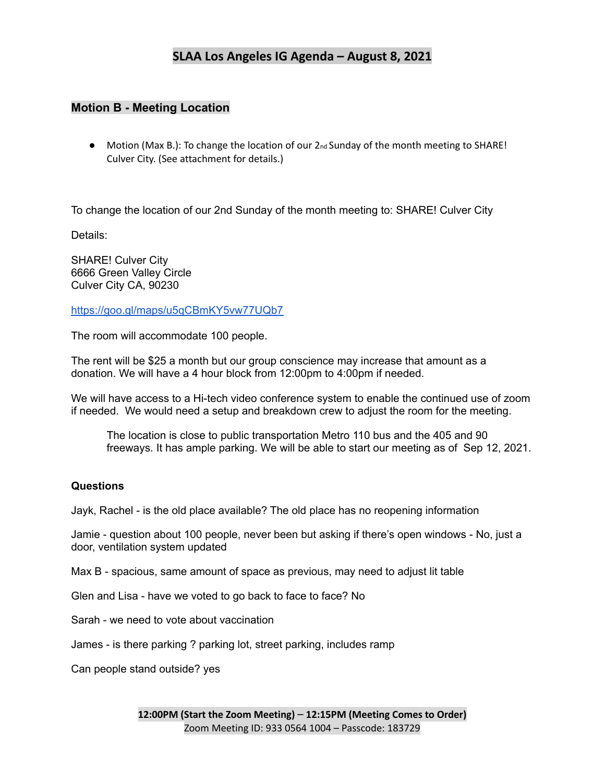#### **Motion B - Meeting Location**

● Motion (Max B.): To change the location of our 2<sub>nd</sub> Sunday of the month meeting to SHARE! Culver City. (See attachment for details.)

To change the location of our 2nd Sunday of the month meeting to: SHARE! Culver City

Details:

SHARE! Culver City 6666 Green Valley Circle Culver City CA, 90230

<https://goo.gl/maps/u5qCBmKY5vw77UQb7>

The room will accommodate 100 people.

The rent will be \$25 a month but our group conscience may increase that amount as a donation. We will have a 4 hour block from 12:00pm to 4:00pm if needed.

We will have access to a Hi-tech video conference system to enable the continued use of zoom if needed. We would need a setup and breakdown crew to adjust the room for the meeting.

The location is close to public transportation Metro 110 bus and the 405 and 90 freeways. It has ample parking. We will be able to start our meeting as of Sep 12, 2021.

#### **Questions**

Jayk, Rachel - is the old place available? The old place has no reopening information

Jamie - question about 100 people, never been but asking if there's open windows - No, just a door, ventilation system updated

Max B - spacious, same amount of space as previous, may need to adjust lit table

Glen and Lisa - have we voted to go back to face to face? No

Sarah - we need to vote about vaccination

James - is there parking ? parking lot, street parking, includes ramp

Can people stand outside? yes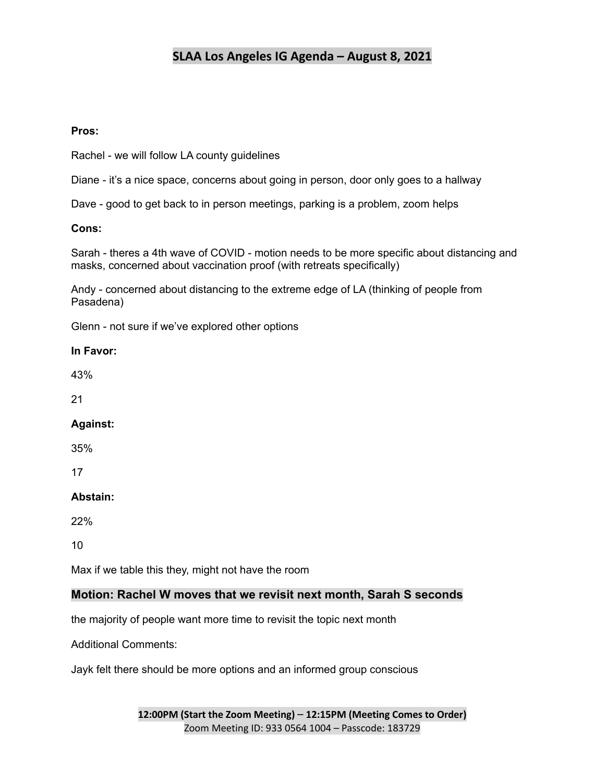#### **Pros:**

Rachel - we will follow LA county guidelines

Diane - it's a nice space, concerns about going in person, door only goes to a hallway

Dave - good to get back to in person meetings, parking is a problem, zoom helps

#### **Cons:**

Sarah - theres a 4th wave of COVID - motion needs to be more specific about distancing and masks, concerned about vaccination proof (with retreats specifically)

Andy - concerned about distancing to the extreme edge of LA (thinking of people from Pasadena)

Glenn - not sure if we've explored other options

#### **In Favor:**

43%

21

#### **Against:**

35%

17

#### **Abstain:**

22%

10

Max if we table this they, might not have the room

## **Motion: Rachel W moves that we revisit next month, Sarah S seconds**

the majority of people want more time to revisit the topic next month

Additional Comments:

Jayk felt there should be more options and an informed group conscious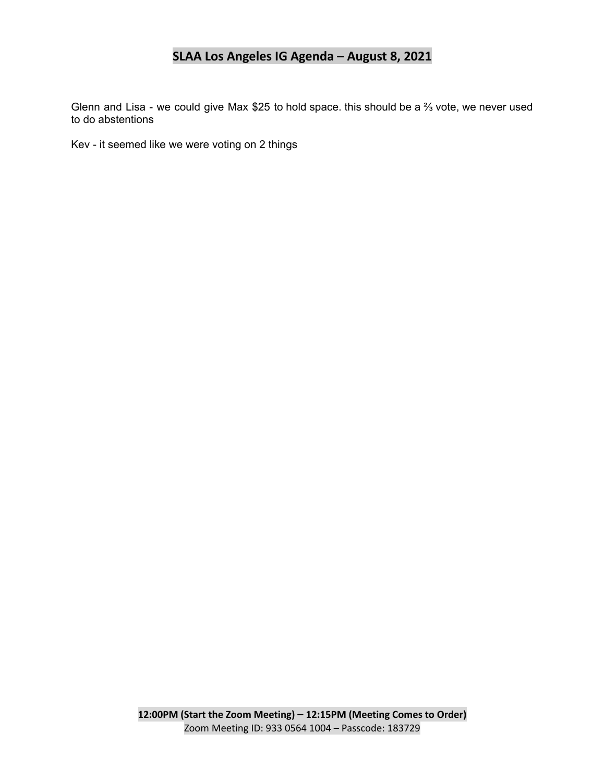Glenn and Lisa - we could give Max \$25 to hold space. this should be a ⅔ vote, we never used to do abstentions

Kev - it seemed like we were voting on 2 things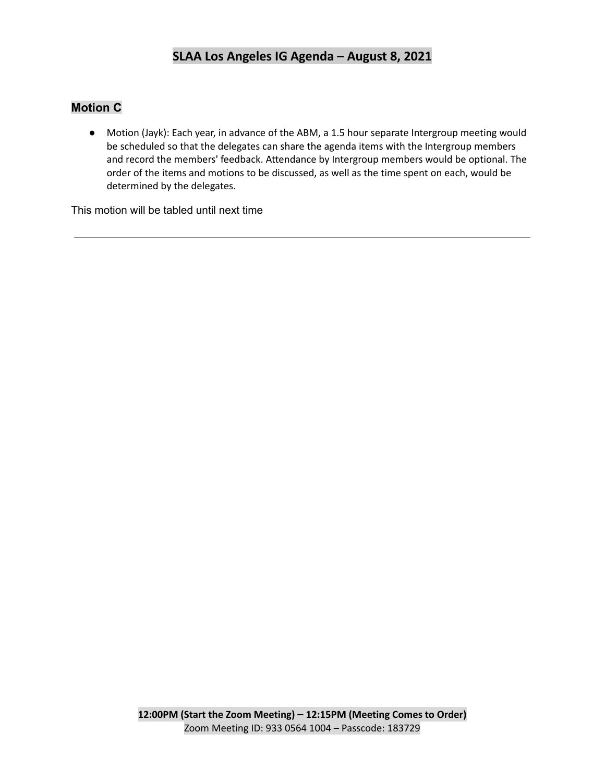# **Motion C**

● Motion (Jayk): Each year, in advance of the ABM, a 1.5 hour separate Intergroup meeting would be scheduled so that the delegates can share the agenda items with the Intergroup members and record the members' feedback. Attendance by Intergroup members would be optional. The order of the items and motions to be discussed, as well as the time spent on each, would be determined by the delegates.

This motion will be tabled until next time